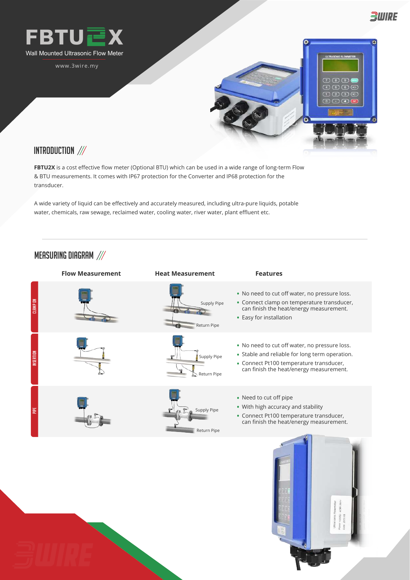

www.3wire.my



多WIRE

## INTRODUCTION ///

**FBTU2X** is a cost effective flow meter (Optional BTU) which can be used in a wide range of long-term Flow & BTU measurements. It comes with IP67 protection for the Converter and IP68 protection for the transducer.

A wide variety of liquid can be effectively and accurately measured, including ultra-pure liquids, potable water, chemicals, raw sewage, reclaimed water, cooling water, river water, plant effluent etc.

## MEASURING DIAGRAM ///

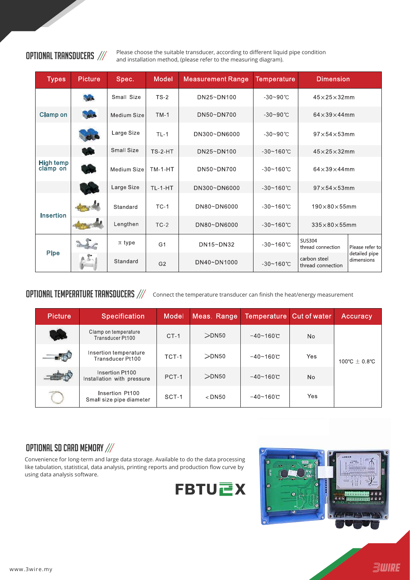**OPTIONAL TRANSDUCERS** /// Please choose the suitable transducer, according to different liquid pipe condition and installation method, (please refer to the measuring diagram).

| <b>Types</b>          | <b>Picture</b> | Spec.       | Model          | <b>Measurement Range</b> | <b>Temperature</b>    | <b>Dimension</b>                   |                             |
|-----------------------|----------------|-------------|----------------|--------------------------|-----------------------|------------------------------------|-----------------------------|
|                       | $\sim$         | Small Size  | $TS-2$         | DN25~DN100               | $-30 - 90$ °C         | $45\times25\times32$ mm            |                             |
| <b>Clamp on</b>       | <b>ALC</b>     | Medium Size | $TM-1$         | DN50~DN700               | $-30 - 90$ °C         | $64\times39\times44$ mm            |                             |
|                       |                | Large Size  | $TL-1$         | DN300~DN6000             | $-30 - 90$ °C         | $97\times54\times53$ mm            |                             |
|                       |                | Small Size  | <b>TS-2-HT</b> | DN25~DN100               | $-30 - 160^{\circ}$ C | $45\times25\times32$ mm            |                             |
| High temp<br>clamp on | <b>And</b>     | Medium Size | $TM-1-HT$      | DN50~DN700               | $-30 - 160^{\circ}$ C | $64\times39\times44$ mm            |                             |
|                       |                | Large Size  | <b>TL-1-HT</b> | DN300~DN6000             | $-30 - 160^{\circ}$ C | $97\times54\times53$ mm            |                             |
| <b>Insertion</b>      |                | Standard    | $TC-1$         | DN80~DN6000              | $-30 - 160^{\circ}$ C | $190\times80\times55$ mm           |                             |
|                       |                | Lengthen    | $TC-2$         | DN80~DN6000              | $-30 - 160^{\circ}$ C | $335\times80\times55$ mm           |                             |
| <b>Pipe</b>           |                | $\pi$ type  | G <sub>1</sub> | DN15~DN32                | $-30 - 160^{\circ}$ C | <b>SUS304</b><br>thread connection | Please refer to             |
|                       |                | Standard    | G <sub>2</sub> | DN40~DN1000              | $-30 - 160^{\circ}$ C | carbon steel<br>thread connection  | detailed pipe<br>dimensions |

OPTIONAL TEMPERATURE TRANSDUCERS /// Connect the temperature transducer can finish the heat/energy measurement

| <b>Picture</b>            | <b>Specification</b>                          | Model  | Meas. Range | Temperature Cut of water |           | Accuracy          |
|---------------------------|-----------------------------------------------|--------|-------------|--------------------------|-----------|-------------------|
| <b>The Second Service</b> | Clamp on temperature<br>Transducer Pt100      | $CT-1$ | $>$ DN50    | $-40 - 160C$             | No.       |                   |
|                           | Insertion temperature<br>Transducer Pt100     | TCT-1  | $>$ DN50    | $-40 - 160$ °C           | Yes       | 100°C $\pm$ 0.8°C |
|                           | Insertion Pt100<br>Installation with pressure | PCT-1  | $>$ DN50    | $-40 - 160$ °C           | <b>No</b> |                   |
|                           | Insertion Pt100<br>Small size pipe diameter   | SCT-1  | $<$ DN50    | $-40 - 160C$             | Yes       |                   |

## OPTIONAL SD CARD MEMORY ///

Convenience for long-term and large data storage. Available to do the data processing like tabulation, statistical, data analysis, printing reports and production flow curve by using data analysis software.



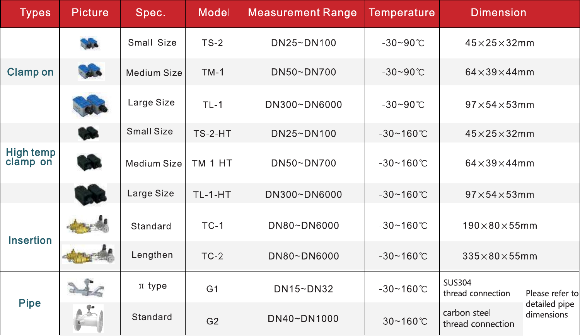| <b>Types</b>                 | <b>Picture</b> | Spec.       | <b>Model</b>   | <b>Measurement Range</b> | <b>Temperature</b>    | <b>Dimension</b>                   |                             |
|------------------------------|----------------|-------------|----------------|--------------------------|-----------------------|------------------------------------|-----------------------------|
|                              |                | Small Size  | $TS-2$         | DN25~DN100               | $-30 - 90$ °C         | $45\times25\times32$ mm            |                             |
| <b>Clamp on</b>              |                | Medium Size | $TM-1$         | DN50~DN700               | $-30 - 90$ °C         | $64\times39\times44$ mm            |                             |
|                              |                | Large Size  | $TL-1$         | DN300~DN6000             | $-30 - 90$ °C         | $97\times54\times53$ mm            |                             |
|                              |                | Small Size  | $TS-2-HT$      | DN25~DN100               | $-30 - 160^{\circ}$ C | $45\times25\times32$ mm            |                             |
| <b>High temp</b><br>clamp on |                | Medium Size | $TM-1-HT$      | DN50~DN700               | $-30 - 160$ °C        | $64\times39\times44$ mm            |                             |
|                              |                | Large Size  | <b>TL-1-HT</b> | DN300~DN6000             | $-30 - 160^{\circ}$ C | $97\times54\times53$ mm            |                             |
| <b>Insertion</b>             |                | Standard    | $TC-1$         | DN80~DN6000              | $-30 - 160$ °C        | $190\times80\times55$ mm           |                             |
|                              |                | Lengthen    | $TC-2$         | DN80~DN6000              | $-30 - 160$ °C        | $335\times80\times55$ mm           |                             |
| <b>Pipe</b>                  |                | $\pi$ type  | G <sub>1</sub> | DN15~DN32                | $-30 - 160^{\circ}$ C | <b>SUS304</b><br>thread connection | Please refer to             |
|                              |                | Standard    | G <sub>2</sub> | DN40~DN1000              | $-30 - 160^{\circ}$ C | carbon steel<br>thread connection  | detailed pipe<br>dimensions |